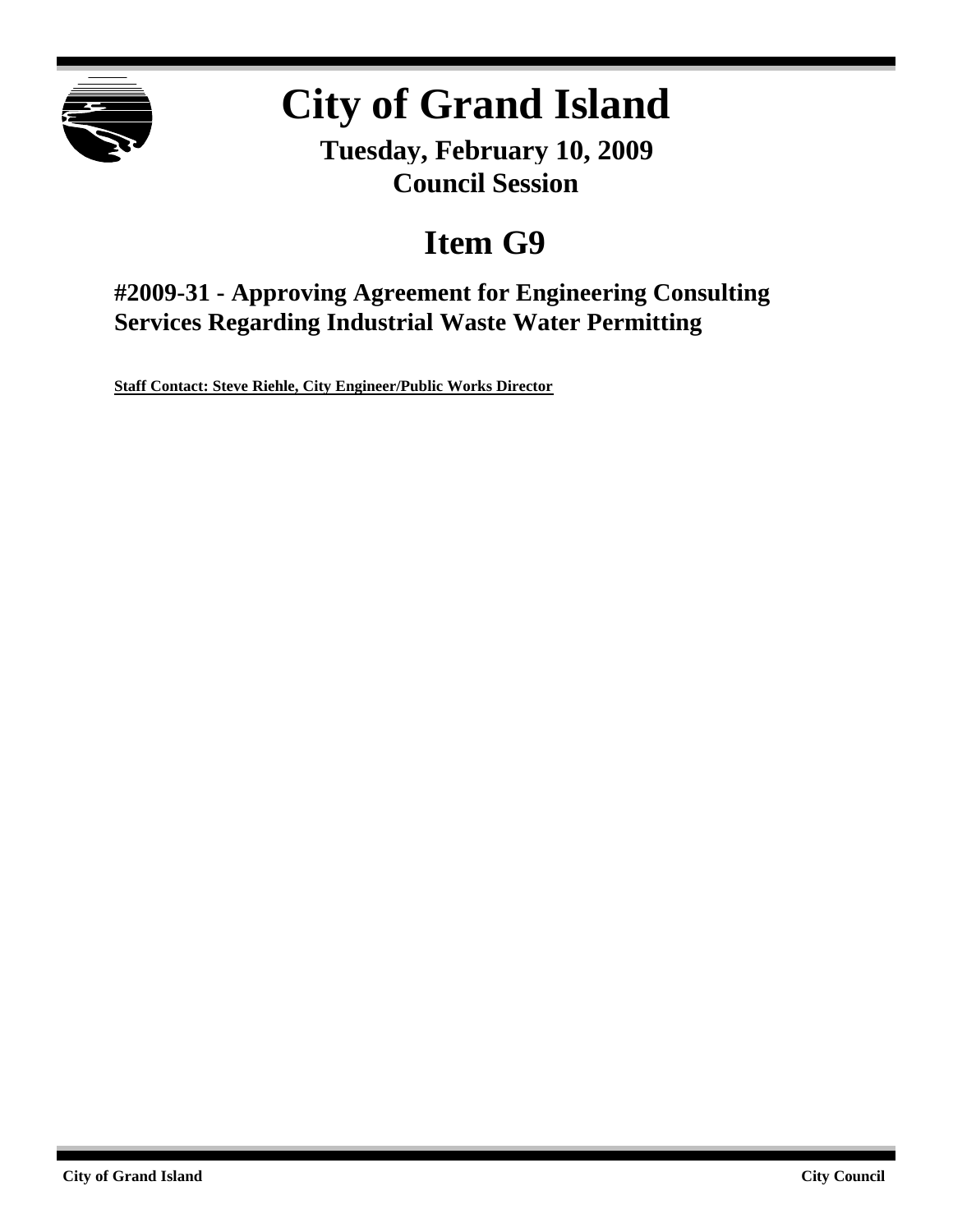

# **City of Grand Island**

**Tuesday, February 10, 2009 Council Session**

## **Item G9**

**#2009-31 - Approving Agreement for Engineering Consulting Services Regarding Industrial Waste Water Permitting**

**Staff Contact: Steve Riehle, City Engineer/Public Works Director**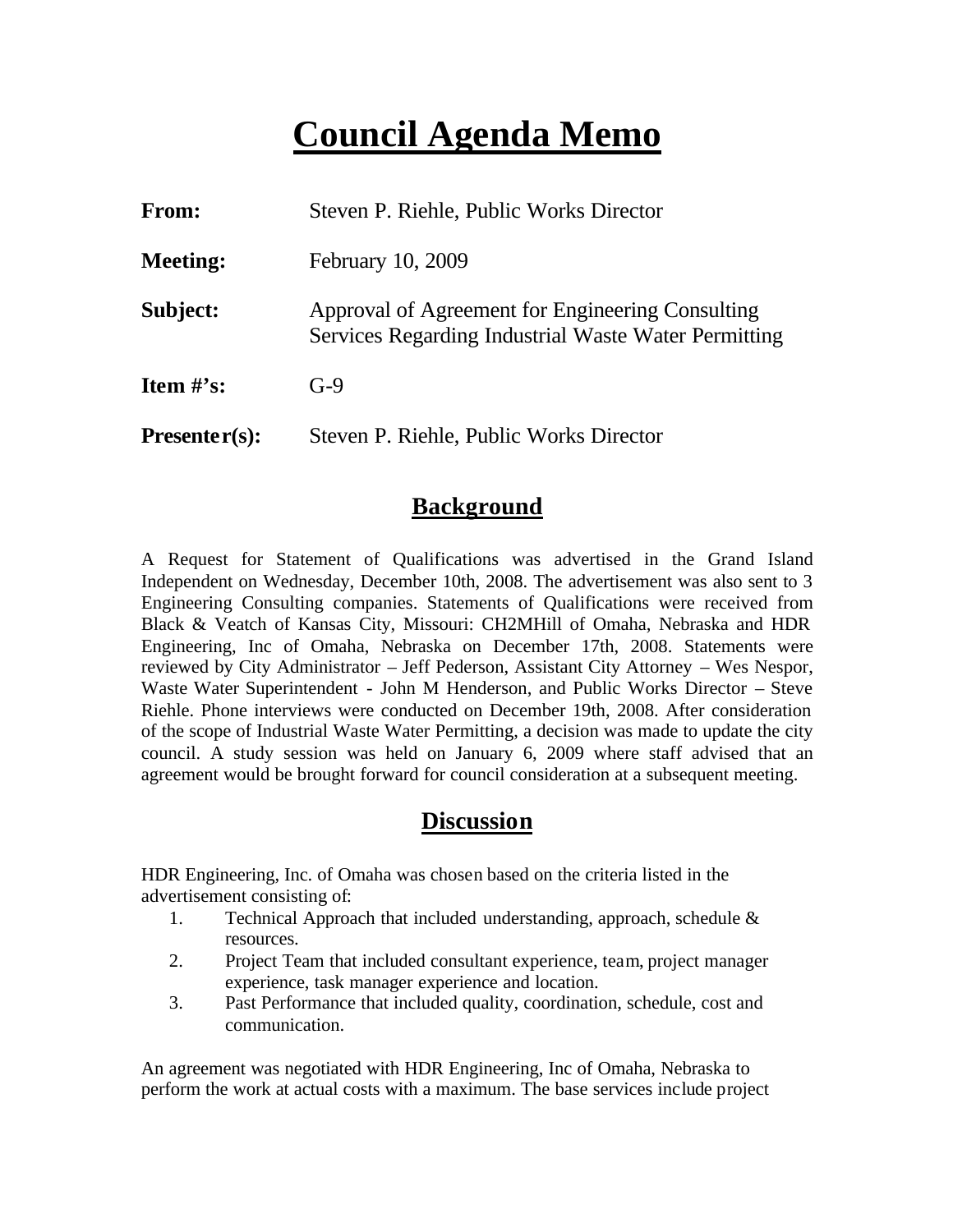### **Council Agenda Memo**

| From:           | Steven P. Riehle, Public Works Director                                                                  |  |
|-----------------|----------------------------------------------------------------------------------------------------------|--|
| <b>Meeting:</b> | February 10, 2009                                                                                        |  |
| Subject:        | Approval of Agreement for Engineering Consulting<br>Services Regarding Industrial Waste Water Permitting |  |
| Item $\#$ 's:   | $G-9$                                                                                                    |  |
| $Presenter(s):$ | Steven P. Riehle, Public Works Director                                                                  |  |

#### **Background**

A Request for Statement of Qualifications was advertised in the Grand Island Independent on Wednesday, December 10th, 2008. The advertisement was also sent to 3 Engineering Consulting companies. Statements of Qualifications were received from Black & Veatch of Kansas City, Missouri: CH2MHill of Omaha, Nebraska and HDR Engineering, Inc of Omaha, Nebraska on December 17th, 2008. Statements were reviewed by City Administrator – Jeff Pederson, Assistant City Attorney – Wes Nespor, Waste Water Superintendent - John M Henderson, and Public Works Director – Steve Riehle. Phone interviews were conducted on December 19th, 2008. After consideration of the scope of Industrial Waste Water Permitting, a decision was made to update the city council. A study session was held on January 6, 2009 where staff advised that an agreement would be brought forward for council consideration at a subsequent meeting.

#### **Discussion**

HDR Engineering, Inc. of Omaha was chosen based on the criteria listed in the advertisement consisting of:

- 1. Technical Approach that included understanding, approach, schedule & resources.
- 2. Project Team that included consultant experience, team, project manager experience, task manager experience and location.
- 3. Past Performance that included quality, coordination, schedule, cost and communication.

An agreement was negotiated with HDR Engineering, Inc of Omaha, Nebraska to perform the work at actual costs with a maximum. The base services include project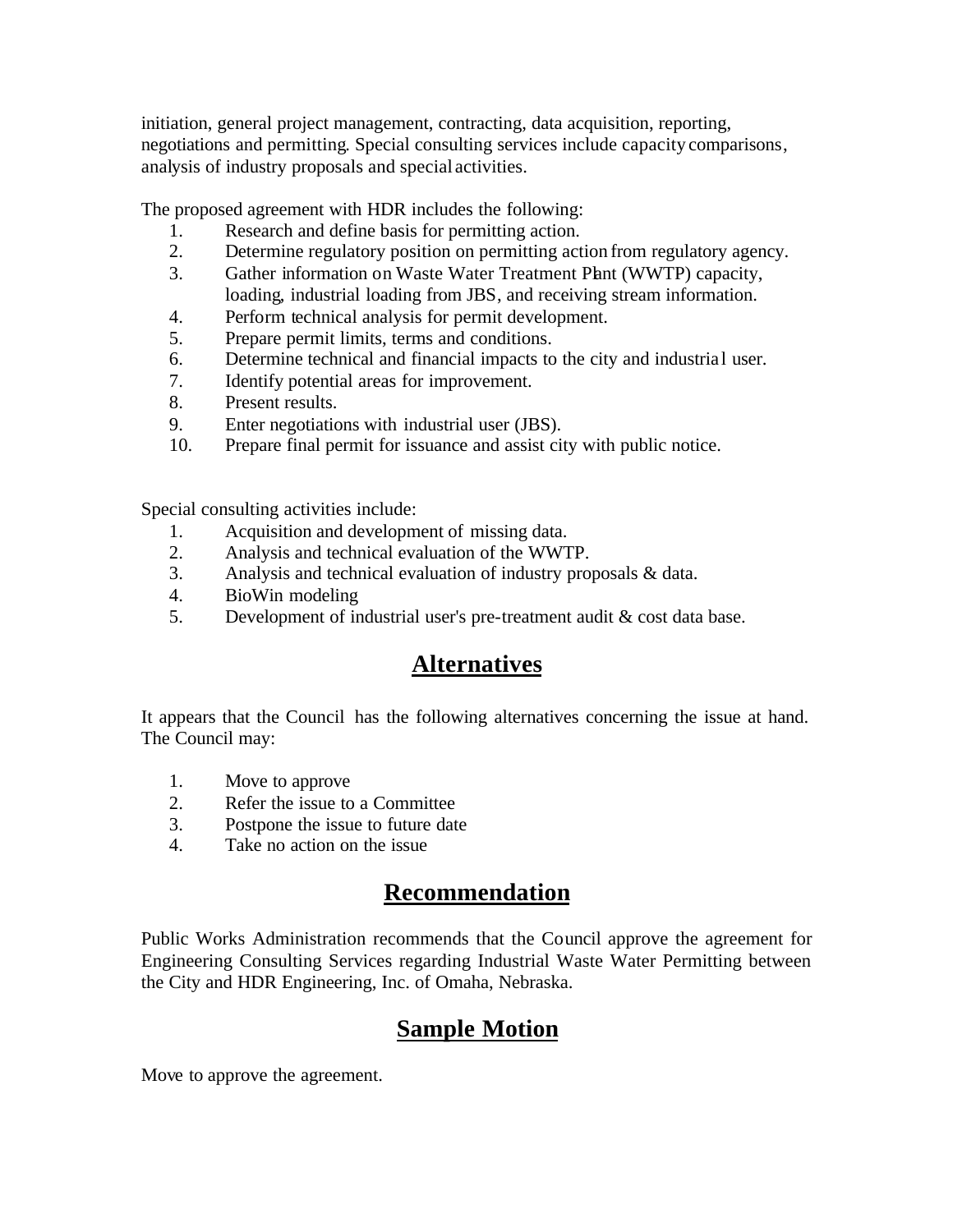initiation, general project management, contracting, data acquisition, reporting, negotiations and permitting. Special consulting services include capacity comparisons, analysis of industry proposals and special activities.

The proposed agreement with HDR includes the following:

- 1. Research and define basis for permitting action.
- 2. Determine regulatory position on permitting action from regulatory agency.
- 3. Gather information on Waste Water Treatment Plant (WWTP) capacity, loading, industrial loading from JBS, and receiving stream information.
- 4. Perform technical analysis for permit development.
- 5. Prepare permit limits, terms and conditions.
- 6. Determine technical and financial impacts to the city and industrial user.
- 7. Identify potential areas for improvement.
- 8. Present results.
- 9. Enter negotiations with industrial user (JBS).
- 10. Prepare final permit for issuance and assist city with public notice.

Special consulting activities include:

- 1. Acquisition and development of missing data.
- 2. Analysis and technical evaluation of the WWTP.
- 3. Analysis and technical evaluation of industry proposals & data.
- 4. BioWin modeling
- 5. Development of industrial user's pre-treatment audit & cost data base.

### **Alternatives**

It appears that the Council has the following alternatives concerning the issue at hand. The Council may:

- 1. Move to approve
- 2. Refer the issue to a Committee
- 3. Postpone the issue to future date
- 4. Take no action on the issue

### **Recommendation**

Public Works Administration recommends that the Council approve the agreement for Engineering Consulting Services regarding Industrial Waste Water Permitting between the City and HDR Engineering, Inc. of Omaha, Nebraska.

### **Sample Motion**

Move to approve the agreement.